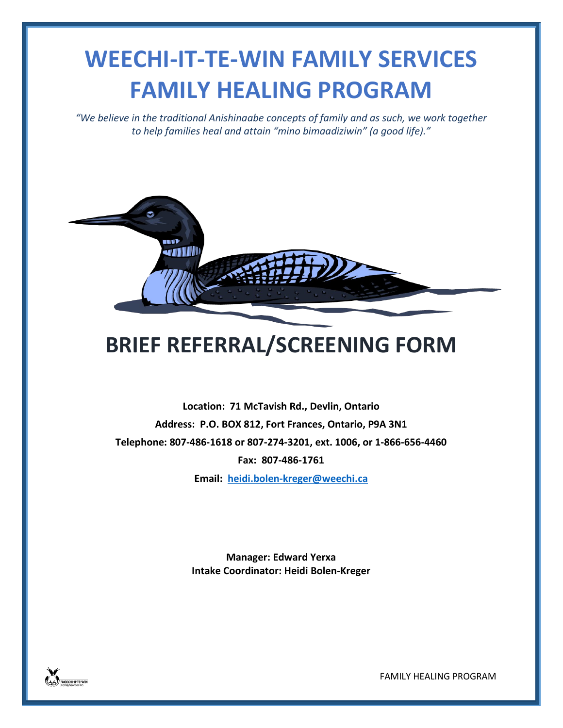## **WEECHI-IT-TE-WIN FAMILY SERVICES FAMILY HEALING PROGRAM**

*"We believe in the traditional Anishinaabe concepts of family and as such, we work together to help families heal and attain "mino bimaadiziwin" (a good life)."*



## **BRIEF REFERRAL/SCREENING FORM**

**Location: 71 McTavish Rd., Devlin, Ontario Address: P.O. BOX 812, Fort Frances, Ontario, P9A 3N1 Telephone: 807-486-1618 or 807-274-3201, ext. 1006, or 1-866-656-4460 Fax: 807-486-1761 Email: [heidi.bolen-kreger@weechi.ca](mailto:heidi.bolen-kreger@weechi.ca)**

> **Manager: Edward Yerxa Intake Coordinator: Heidi Bolen-Kreger**



FAMILY HEALING PROGRAM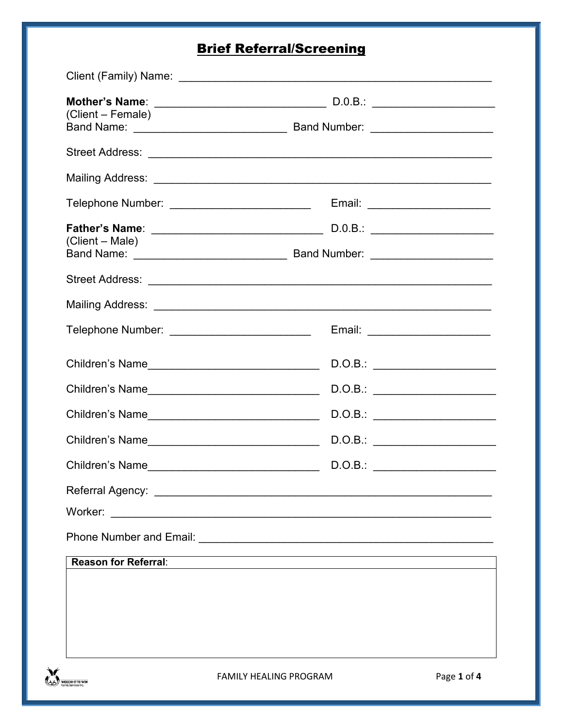## **Brief Referral/Screening**

| (Client – Female)                                 |                                  |
|---------------------------------------------------|----------------------------------|
|                                                   |                                  |
|                                                   |                                  |
| Telephone Number: ___________________________     | Email: _______________________   |
| (Client – Male)                                   |                                  |
|                                                   |                                  |
|                                                   |                                  |
| Telephone Number: ____________________________    | Email: _________________________ |
|                                                   |                                  |
| Children's Name__________________________________ | D.O.B.:                          |
|                                                   | D.O.B.:                          |
|                                                   | D.O.B.: _______________________  |
| Children's Name                                   | D.O.B.:                          |
|                                                   |                                  |
| Worker:                                           |                                  |
|                                                   |                                  |
| <b>Reason for Referral:</b>                       |                                  |
|                                                   |                                  |
|                                                   |                                  |
|                                                   |                                  |
|                                                   |                                  |

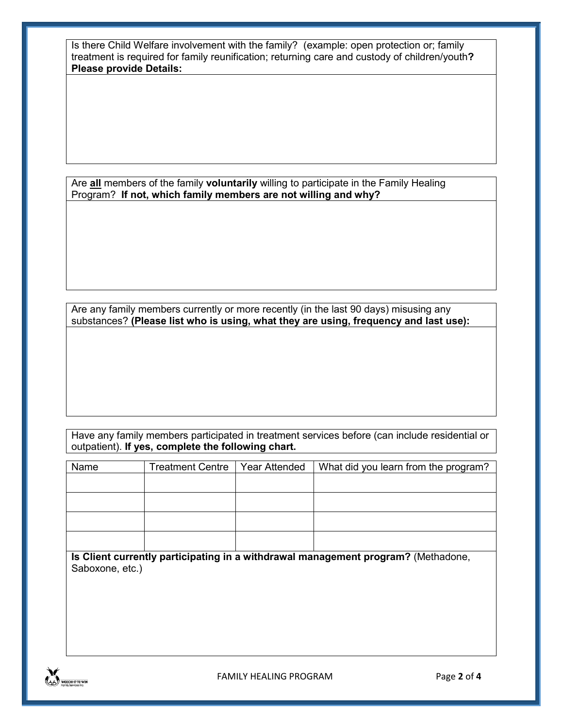Is there Child Welfare involvement with the family? (example: open protection or; family treatment is required for family reunification; returning care and custody of children/youth**? Please provide Details:**

Are **all** members of the family **voluntarily** willing to participate in the Family Healing Program? **If not, which family members are not willing and why?**

Are any family members currently or more recently (in the last 90 days) misusing any substances? **(Please list who is using, what they are using, frequency and last use):**

Have any family members participated in treatment services before (can include residential or outpatient). **If yes, complete the following chart.**

| Name                                                                              | <b>Treatment Centre</b> | <b>Year Attended</b> | What did you learn from the program? |  |  |  |
|-----------------------------------------------------------------------------------|-------------------------|----------------------|--------------------------------------|--|--|--|
|                                                                                   |                         |                      |                                      |  |  |  |
|                                                                                   |                         |                      |                                      |  |  |  |
|                                                                                   |                         |                      |                                      |  |  |  |
|                                                                                   |                         |                      |                                      |  |  |  |
|                                                                                   |                         |                      |                                      |  |  |  |
|                                                                                   |                         |                      |                                      |  |  |  |
| Is Client currently participating in a withdrawal management program? (Methadone, |                         |                      |                                      |  |  |  |
| Saboxone, etc.)                                                                   |                         |                      |                                      |  |  |  |
|                                                                                   |                         |                      |                                      |  |  |  |
|                                                                                   |                         |                      |                                      |  |  |  |
|                                                                                   |                         |                      |                                      |  |  |  |
|                                                                                   |                         |                      |                                      |  |  |  |

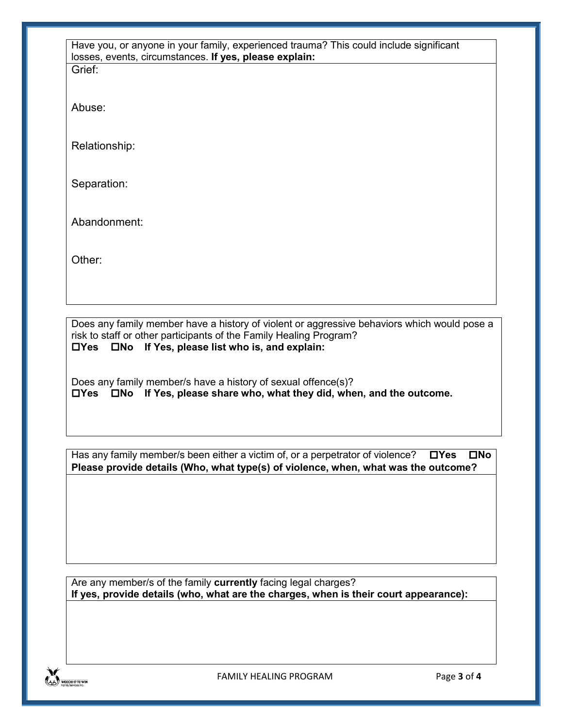| Have you, or anyone in your family, experienced trauma? This could include significant<br>losses, events, circumstances. If yes, please explain: |  |  |
|--------------------------------------------------------------------------------------------------------------------------------------------------|--|--|
| Grief:                                                                                                                                           |  |  |
| Abuse:                                                                                                                                           |  |  |
| Relationship:                                                                                                                                    |  |  |
| Separation:                                                                                                                                      |  |  |
| Abandonment:                                                                                                                                     |  |  |
| Other:                                                                                                                                           |  |  |
|                                                                                                                                                  |  |  |
|                                                                                                                                                  |  |  |

Does any family member have a history of violent or aggressive behaviors which would pose a risk to staff or other participants of the Family Healing Program? **Yes No If Yes, please list who is, and explain:**

Does any family member/s have a history of sexual offence(s)? **Yes No If Yes, please share who, what they did, when, and the outcome.**

Has any family member/s been either a victim of, or a perpetrator of violence? <br> **No Please provide details (Who, what type(s) of violence, when, what was the outcome?**

Are any member/s of the family **currently** facing legal charges? **If yes, provide details (who, what are the charges, when is their court appearance):**

FAMILY HEALING PROGRAM Page **3** of **4**